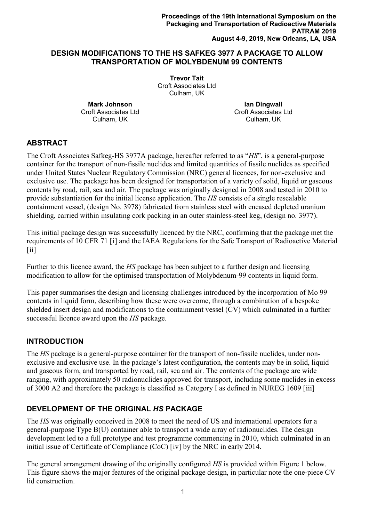### **DESIGN MODIFICATIONS TO THE HS SAFKEG 3977 A PACKAGE TO ALLOW TRANSPORTATION OF MOLYBDENUM 99 CONTENTS**

**Trevor Tait** Croft Associates Ltd Culham, UK

**Mark Johnson** Croft Associates Ltd Culham, UK

**Ian Dingwall** Croft Associates Ltd Culham, UK

# **ABSTRACT**

The Croft Associates Safkeg-HS 3977A package, hereafter referred to as "*HS*", is a general-purpose container for the transport of non-fissile nuclides and limited quantities of fissile nuclides as specified under United States Nuclear Regulatory Commission (NRC) general licences, for non-exclusive and exclusive use. The package has been designed for transportation of a variety of solid, liquid or gaseous contents by road, rail, sea and air. The package was originally designed in 2008 and tested in 2010 to provide substantiation for the initial license application. The *HS* consists of a single resealable containment vessel, (design No. 3978) fabricated from stainless steel with encased depleted uranium shielding, carried within insulating cork packing in an outer stainless-steel keg, (design no. 3977).

<span id="page-0-0"></span>This initial package design was successfully licenced by the NRC, confirming that the package met the requirements of 10 CFR 71 [[i](#page-9-0)] and the IAEA Regulations for the Safe Transport of Radioactive Material  $[ii]$  $[ii]$  $[ii]$ 

Further to this licence award, the *HS* package has been subject to a further design and licensing modification to allow for the optimised transportation of Molybdenum-99 contents in liquid form.

This paper summarises the design and licensing challenges introduced by the incorporation of Mo 99 contents in liquid form, describing how these were overcome, through a combination of a bespoke shielded insert design and modifications to the containment vessel (CV) which culminated in a further successful licence award upon the *HS* package.

## **INTRODUCTION**

The *HS* package is a general-purpose container for the transport of non-fissile nuclides, under nonexclusive and exclusive use. In the package's latest configuration, the contents may be in solid, liquid and gaseous form, and transported by road, rail, sea and air. The contents of the package are wide ranging, with approximately 50 radionuclides approved for transport, including some nuclides in excess of 3000 A2 and therefore the package is classified as Category I as defined in NUREG 1609 [[iii\]](#page-9-2)

## **DEVELOPMENT OF THE ORIGINAL** *HS* **PACKAGE**

The *HS* was originally conceived in 2008 to meet the need of US and international operators for a general-purpose Type B(U) container able to transport a wide array of radionuclides. The design development led to a full prototype and test programme commencing in 2010, which culminated in an initial issue of Certificate of Compliance (CoC) [[iv\]](#page-9-3) by the NRC in early 2014.

<span id="page-0-1"></span>The general arrangement drawing of the originally configured *HS* is provided within Figure 1 below. This figure shows the major features of the original package design, in particular note the one-piece CV lid construction.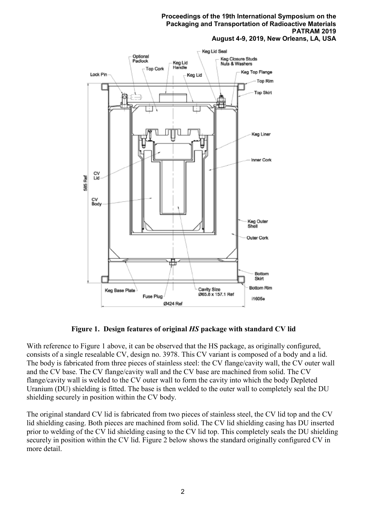

**Figure 1. Design features of original** *HS* **package with standard CV lid**

With reference to Figure 1 above, it can be observed that the HS package, as originally configured, consists of a single resealable CV, design no. 3978. This CV variant is composed of a body and a lid. The body is fabricated from three pieces of stainless steel: the CV flange/cavity wall, the CV outer wall and the CV base. The CV flange/cavity wall and the CV base are machined from solid. The CV flange/cavity wall is welded to the CV outer wall to form the cavity into which the body Depleted Uranium (DU) shielding is fitted. The base is then welded to the outer wall to completely seal the DU shielding securely in position within the CV body.

The original standard CV lid is fabricated from two pieces of stainless steel, the CV lid top and the CV lid shielding casing. Both pieces are machined from solid. The CV lid shielding casing has DU inserted prior to welding of the CV lid shielding casing to the CV lid top. This completely seals the DU shielding securely in position within the CV lid. Figure 2 below shows the standard originally configured CV in more detail.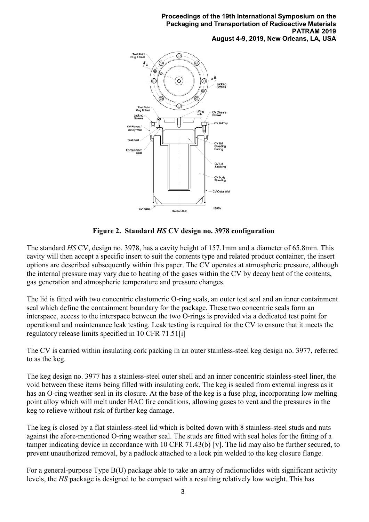

**Figure 2. Standard** *HS* **CV design no. 3978 configuration**

The standard *HS* CV, design no. 3978, has a cavity height of 157.1mm and a diameter of 65.8mm. This cavity will then accept a specific insert to suit the contents type and related product container, the insert options are described subsequently within this paper. The CV operates at atmospheric pressure, although the internal pressure may vary due to heating of the gases within the CV by decay heat of the contents, gas generation and atmospheric temperature and pressure changes.

The lid is fitted with two concentric elastomeric O-ring seals, an outer test seal and an inner containment seal which define the containment boundary for the package. These two concentric seals form an interspace, access to the interspace between the two O-rings is provided via a dedicated test point for operational and maintenance leak testing. Leak testing is required for the CV to ensure that it meets the regulatory release limits specified in 10 CFR 71.51[\[i\]](#page-0-0)

The CV is carried within insulating cork packing in an outer stainless-steel keg design no. 3977, referred to as the keg.

The keg design no. 3977 has a stainless-steel outer shell and an inner concentric stainless-steel liner, the void between these items being filled with insulating cork. The keg is sealed from external ingress as it has an O-ring weather seal in its closure. At the base of the keg is a fuse plug, incorporating low melting point alloy which will melt under HAC fire conditions, allowing gases to vent and the pressures in the keg to relieve without risk of further keg damage.

The keg is closed by a flat stainless-steel lid which is bolted down with 8 stainless-steel studs and nuts against the afore-mentioned O-ring weather seal. The studs are fitted with seal holes for the fitting of a tamper indicating device in accordance with 10 CFR 71.43(b) [[v\]](#page-9-4). The lid may also be further secured, to prevent unauthorized removal, by a padlock attached to a lock pin welded to the keg closure flange.

For a general-purpose Type B(U) package able to take an array of radionuclides with significant activity levels, the *HS* package is designed to be compact with a resulting relatively low weight. This has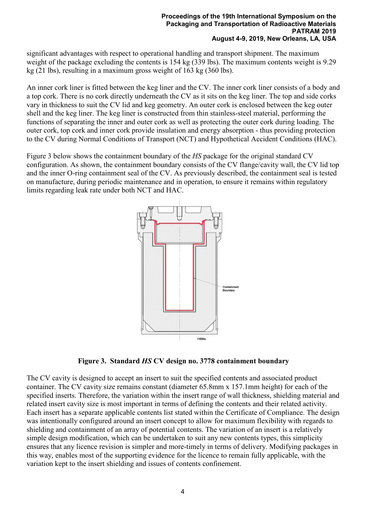significant advantages with respect to operational handling and transport shipment. The maximum weight of the package excluding the contents is 154 kg (339 lbs). The maximum contents weight is 9.29 kg (21 lbs), resulting in a maximum gross weight of 163 kg (360 lbs).

An inner cork liner is fitted between the keg liner and the CV. The inner cork liner consists of a body and a top cork. There is no cork directly underneath the CV as it sits on the keg liner. The top and side corks vary in thickness to suit the CV lid and keg geometry. An outer cork is enclosed between the keg outer shell and the keg liner. The keg liner is constructed from thin stainless-steel material, performing the functions of separating the inner and outer cork as well as protecting the outer cork during loading. The outer cork, top cork and inner cork provide insulation and energy absorption - thus providing protection to the CV during Normal Conditions of Transport (NCT) and Hypothetical Accident Conditions (HAC).

Figure 3 below shows the containment boundary of the *HS* package for the original standard CV configuration. As shown, the containment boundary consists of the CV flange/cavity wall, the CV lid top and the inner O-ring containment seal of the CV. As previously described, the containment seal is tested on manufacture, during periodic maintenance and in operation, to ensure it remains within regulatory limits regarding leak rate under both NCT and HAC.



**Figure 3. Standard** *HS* **CV design no. 3778 containment boundary**

The CV cavity is designed to accept an insert to suit the specified contents and associated product container. The CV cavity size remains constant (diameter 65.8mm x 157.1mm height) for each of the specified inserts. Therefore, the variation within the insert range of wall thickness, shielding material and related insert cavity size is most important in terms of defining the contents and their related activity. Each insert has a separate applicable contents list stated within the Certificate of Compliance. The design was intentionally configured around an insert concept to allow for maximum flexibility with regards to shielding and containment of an array of potential contents. The variation of an insert is a relatively simple design modification, which can be undertaken to suit any new contents types, this simplicity ensures that any licence revision is simpler and more-timely in terms of delivery. Modifying packages in this way, enables most of the supporting evidence for the licence to remain fully applicable, with the variation kept to the insert shielding and issues of contents confinement.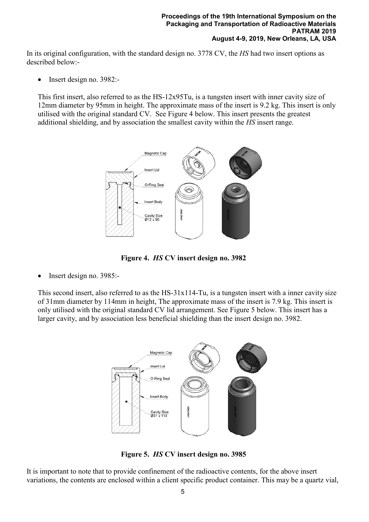In its original configuration, with the standard design no. 3778 CV, the *HS* had two insert options as described below:-

• Insert design no. 3982:-

This first insert, also referred to as the HS-12x95Tu, is a tungsten insert with inner cavity size of 12mm diameter by 95mm in height. The approximate mass of the insert is 9.2 kg. This insert is only utilised with the original standard CV. See Figure 4 below. This insert presents the greatest additional shielding, and by association the smallest cavity within the *HS* insert range.



**Figure 4.** *HS* **CV insert design no. 3982**

• Insert design no. 3985:-

This second insert, also referred to as the HS-31x114-Tu, is a tungsten insert with a inner cavity size of 31mm diameter by 114mm in height, The approximate mass of the insert is 7.9 kg. This insert is only utilised with the original standard CV lid arrangement. See Figure 5 below. This insert has a larger cavity, and by association less beneficial shielding than the insert design no. 3982.



**Figure 5.** *HS* **CV insert design no. 3985**

It is important to note that to provide confinement of the radioactive contents, for the above insert variations, the contents are enclosed within a client specific product container. This may be a quartz vial,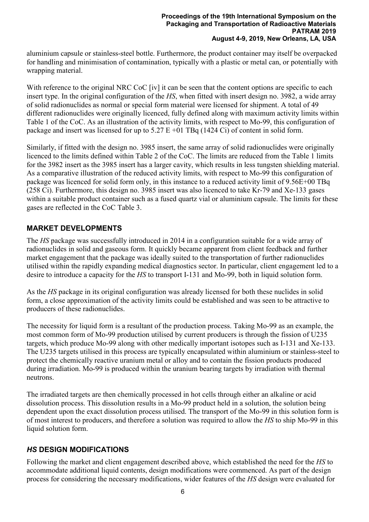aluminium capsule or stainless-steel bottle. Furthermore, the product container may itself be overpacked for handling and minimisation of contamination, typically with a plastic or metal can, or potentially with wrapping material.

With reference to the original NRC CoC [\[iv\]](#page-0-1) it can be seen that the content options are specific to each insert type. In the original configuration of the *HS*, when fitted with insert design no. 3982, a wide array of solid radionuclides as normal or special form material were licensed for shipment. A total of 49 different radionuclides were originally licenced, fully defined along with maximum activity limits within Table 1 of the CoC. As an illustration of the activity limits, with respect to Mo-99, this configuration of package and insert was licensed for up to  $5.27 \text{ E} +01 \text{ TBq}$  (1424 Ci) of content in solid form.

Similarly, if fitted with the design no. 3985 insert, the same array of solid radionuclides were originally licenced to the limits defined within Table 2 of the CoC. The limits are reduced from the Table 1 limits for the 3982 insert as the 3985 insert has a larger cavity, which results in less tungsten shielding material. As a comparative illustration of the reduced activity limits, with respect to Mo-99 this configuration of package was licenced for solid form only, in this instance to a reduced activity limit of 9.56E+00 TBq (258 Ci). Furthermore, this design no. 3985 insert was also licenced to take Kr-79 and Xe-133 gases within a suitable product container such as a fused quartz vial or aluminium capsule. The limits for these gases are reflected in the CoC Table 3.

## **MARKET DEVELOPMENTS**

The *HS* package was successfully introduced in 2014 in a configuration suitable for a wide array of radionuclides in solid and gaseous form. It quickly became apparent from client feedback and further market engagement that the package was ideally suited to the transportation of further radionuclides utilised within the rapidly expanding medical diagnostics sector. In particular, client engagement led to a desire to introduce a capacity for the *HS* to transport I-131 and Mo-99, both in liquid solution form.

As the *HS* package in its original configuration was already licensed for both these nuclides in solid form, a close approximation of the activity limits could be established and was seen to be attractive to producers of these radionuclides.

The necessity for liquid form is a resultant of the production process. Taking Mo-99 as an example, the most common form of Mo-99 production utilised by current producers is through the fission of U235 targets, which produce Mo-99 along with other medically important isotopes such as I-131 and Xe-133. The U235 targets utilised in this process are typically encapsulated within aluminium or stainless-steel to protect the chemically reactive uranium metal or alloy and to contain the fission products produced during irradiation. Mo-99 is produced within the uranium bearing targets by irradiation with thermal neutrons.

The irradiated targets are then chemically processed in hot cells through either an alkaline or acid dissolution process. This dissolution results in a Mo-99 product held in a solution, the solution being dependent upon the exact dissolution process utilised. The transport of the Mo-99 in this solution form is of most interest to producers, and therefore a solution was required to allow the *HS* to ship Mo-99 in this liquid solution form.

# *HS* **DESIGN MODIFICATIONS**

Following the market and client engagement described above, which established the need for the *HS* to accommodate additional liquid contents, design modifications were commenced. As part of the design process for considering the necessary modifications, wider features of the *HS* design were evaluated for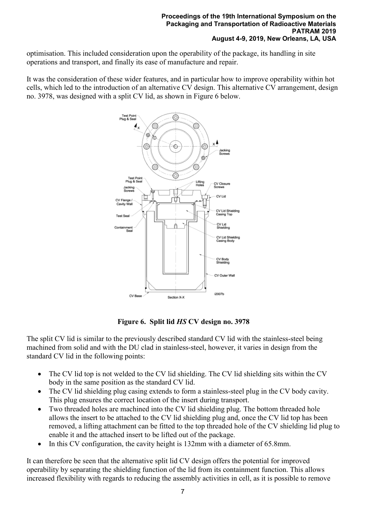optimisation. This included consideration upon the operability of the package, its handling in site operations and transport, and finally its ease of manufacture and repair.

It was the consideration of these wider features, and in particular how to improve operability within hot cells, which led to the introduction of an alternative CV design. This alternative CV arrangement, design no. 3978, was designed with a split CV lid, as shown in Figure 6 below.



**Figure 6. Split lid** *HS* **CV design no. 3978**

The split CV lid is similar to the previously described standard CV lid with the stainless-steel being machined from solid and with the DU clad in stainless-steel, however, it varies in design from the standard CV lid in the following points:

- The CV lid top is not welded to the CV lid shielding. The CV lid shielding sits within the CV body in the same position as the standard CV lid.
- The CV lid shielding plug casing extends to form a stainless-steel plug in the CV body cavity. This plug ensures the correct location of the insert during transport.
- Two threaded holes are machined into the CV lid shielding plug. The bottom threaded hole allows the insert to be attached to the CV lid shielding plug and, once the CV lid top has been removed, a lifting attachment can be fitted to the top threaded hole of the CV shielding lid plug to enable it and the attached insert to be lifted out of the package.
- In this CV configuration, the cavity height is 132mm with a diameter of 65.8mm.

It can therefore be seen that the alternative split lid CV design offers the potential for improved operability by separating the shielding function of the lid from its containment function. This allows increased flexibility with regards to reducing the assembly activities in cell, as it is possible to remove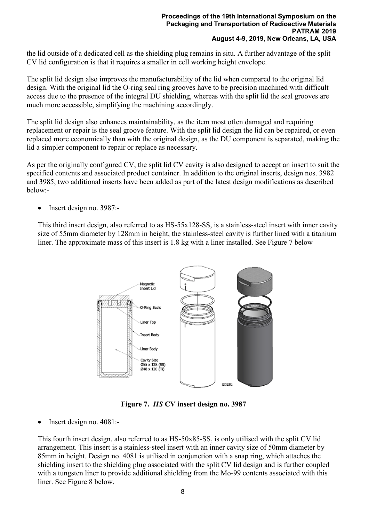the lid outside of a dedicated cell as the shielding plug remains in situ. A further advantage of the split CV lid configuration is that it requires a smaller in cell working height envelope.

The split lid design also improves the manufacturability of the lid when compared to the original lid design. With the original lid the O-ring seal ring grooves have to be precision machined with difficult access due to the presence of the integral DU shielding, whereas with the split lid the seal grooves are much more accessible, simplifying the machining accordingly.

The split lid design also enhances maintainability, as the item most often damaged and requiring replacement or repair is the seal groove feature. With the split lid design the lid can be repaired, or even replaced more economically than with the original design, as the DU component is separated, making the lid a simpler component to repair or replace as necessary.

As per the originally configured CV, the split lid CV cavity is also designed to accept an insert to suit the specified contents and associated product container. In addition to the original inserts, design nos. 3982 and 3985, two additional inserts have been added as part of the latest design modifications as described below:-

• Insert design no. 3987:-

This third insert design, also referred to as HS-55x128-SS, is a stainless-steel insert with inner cavity size of 55mm diameter by 128mm in height, the stainless-steel cavity is further lined with a titanium liner. The approximate mass of this insert is 1.8 kg with a liner installed. See Figure 7 below



**Figure 7.** *HS* **CV insert design no. 3987**

• Insert design no. 4081:-

This fourth insert design, also referred to as HS-50x85-SS, is only utilised with the split CV lid arrangement. This insert is a stainless-steel insert with an inner cavity size of 50mm diameter by 85mm in height. Design no. 4081 is utilised in conjunction with a snap ring, which attaches the shielding insert to the shielding plug associated with the split CV lid design and is further coupled with a tungsten liner to provide additional shielding from the Mo-99 contents associated with this liner. See Figure 8 below.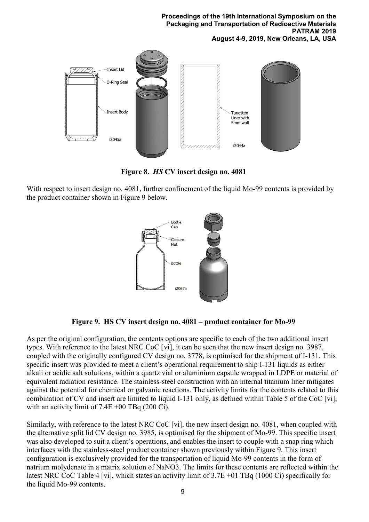

**Figure 8.** *HS* **CV insert design no. 4081**

With respect to insert design no. 4081, further confinement of the liquid Mo-99 contents is provided by the product container shown in Figure 9 below.



<span id="page-8-0"></span>**Figure 9. HS CV insert design no. 4081 – product container for Mo-99**

As per the original configuration, the contents options are specific to each of the two additional insert types. With reference to the latest NRC CoC [\[vi\]](#page-9-5), it can be seen that the new insert design no. 3987, coupled with the originally configured CV design no. 3778, is optimised for the shipment of I-131. This specific insert was provided to meet a client's operational requirement to ship I-131 liquids as either alkali or acidic salt solutions, within a quartz vial or aluminium capsule wrapped in LDPE or material of equivalent radiation resistance. The stainless-steel construction with an internal titanium liner mitigates against the potential for chemical or galvanic reactions. The activity limits for the contents related to this combination of CV and insert are limited to liquid I-131 only, as defined within Table 5 of the CoC [\[vi\]](#page-8-0), with an activity limit of  $7.4E +00$  TBq (200 Ci).

Similarly, with reference to the latest NRC CoC [\[vi\]](#page-8-0), the new insert design no. 4081, when coupled with the alternative split lid CV design no. 3985, is optimised for the shipment of Mo-99. This specific insert was also developed to suit a client's operations, and enables the insert to couple with a snap ring which interfaces with the stainless-steel product container shown previously within Figure 9. This insert configuration is exclusively provided for the transportation of liquid Mo-99 contents in the form of natrium molydenate in a matrix solution of NaNO3. The limits for these contents are reflected within the latest NRC CoC Table 4 [\[vi\]](#page-8-0), which states an activity limit of 3.7E +01 TBq (1000 Ci) specifically for the liquid Mo-99 contents.